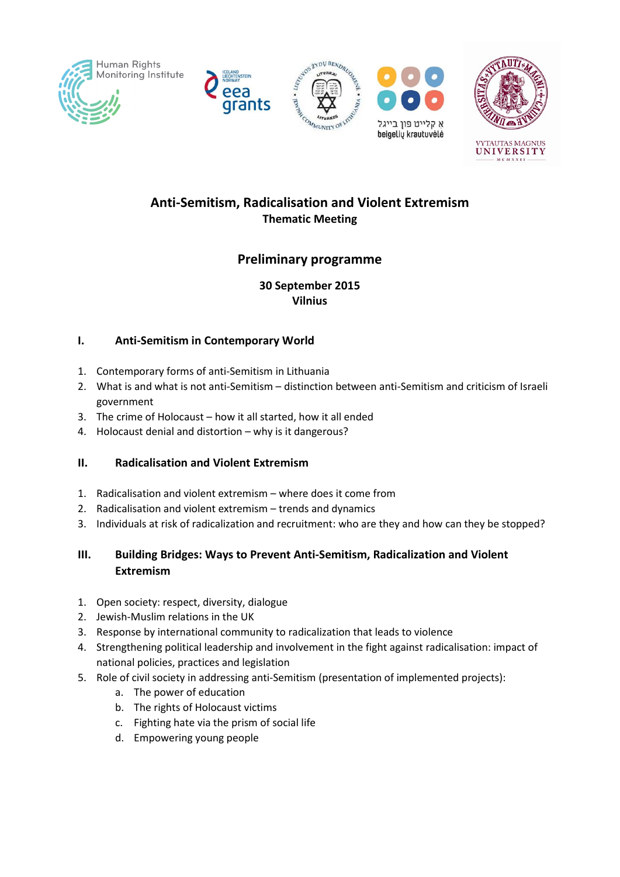









# **Anti-Semitism, Radicalisation and Violent Extremism Thematic Meeting**

# **Preliminary programme**

#### **30 September 2015 Vilnius**

### **I. Anti-Semitism in Contemporary World**

- 1. Contemporary forms of anti-Semitism in Lithuania
- 2. What is and what is not anti-Semitism distinction between anti-Semitism and criticism of Israeli government
- 3. The crime of Holocaust how it all started, how it all ended
- 4. Holocaust denial and distortion why is it dangerous?

## **II. Radicalisation and Violent Extremism**

- 1. Radicalisation and violent extremism where does it come from
- 2. Radicalisation and violent extremism trends and dynamics
- 3. Individuals at risk of radicalization and recruitment: who are they and how can they be stopped?

## **III. Building Bridges: Ways to Prevent Anti-Semitism, Radicalization and Violent Extremism**

- 1. Open society: respect, diversity, dialogue
- 2. Jewish-Muslim relations in the UK
- 3. Response by international community to radicalization that leads to violence
- 4. Strengthening political leadership and involvement in the fight against radicalisation: impact of national policies, practices and legislation
- 5. Role of civil society in addressing anti-Semitism (presentation of implemented projects):
	- a. The power of education
	- b. The rights of Holocaust victims
	- c. Fighting hate via the prism of social life
	- d. Empowering young people